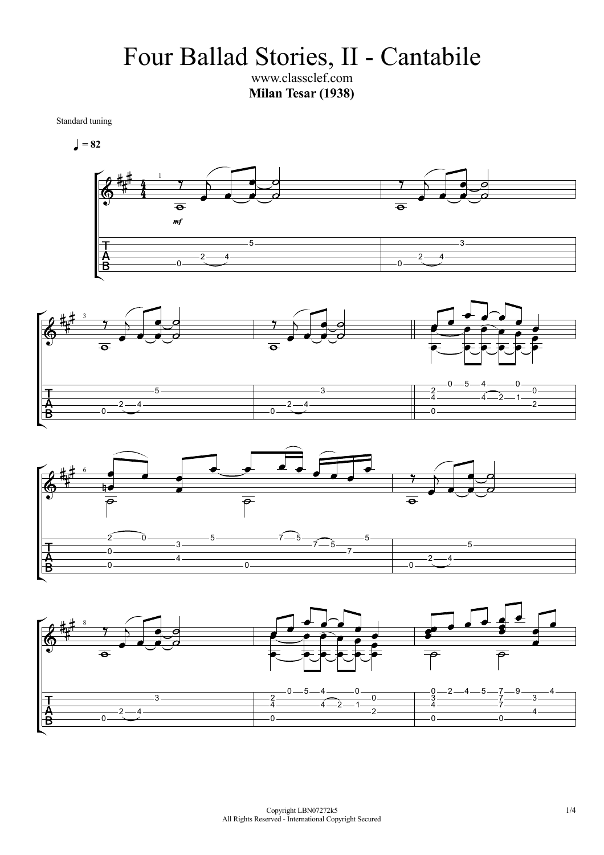Four Ballad Stories, II - Cantabile

www.classclef.com **Milan Tesar (1938)** 

Standard tuning

$$
\blacksquare = 82
$$







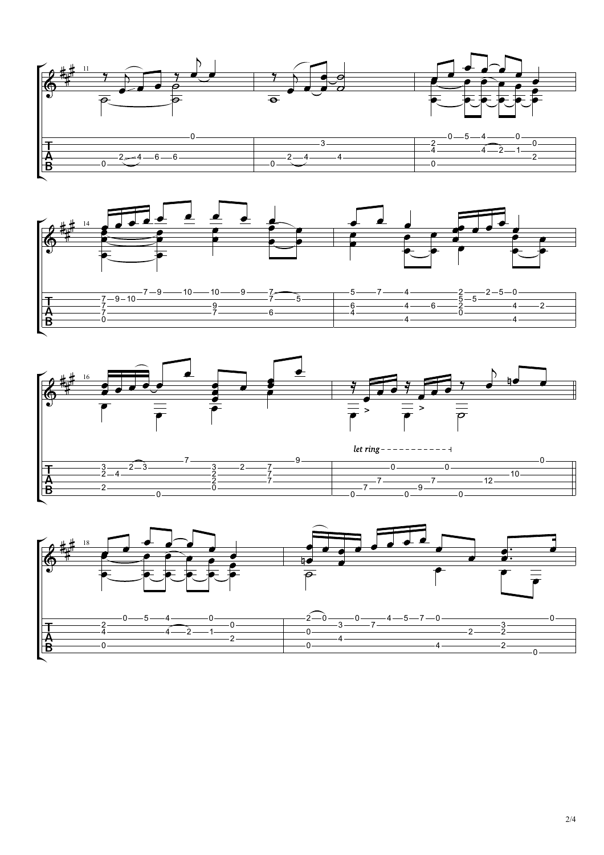





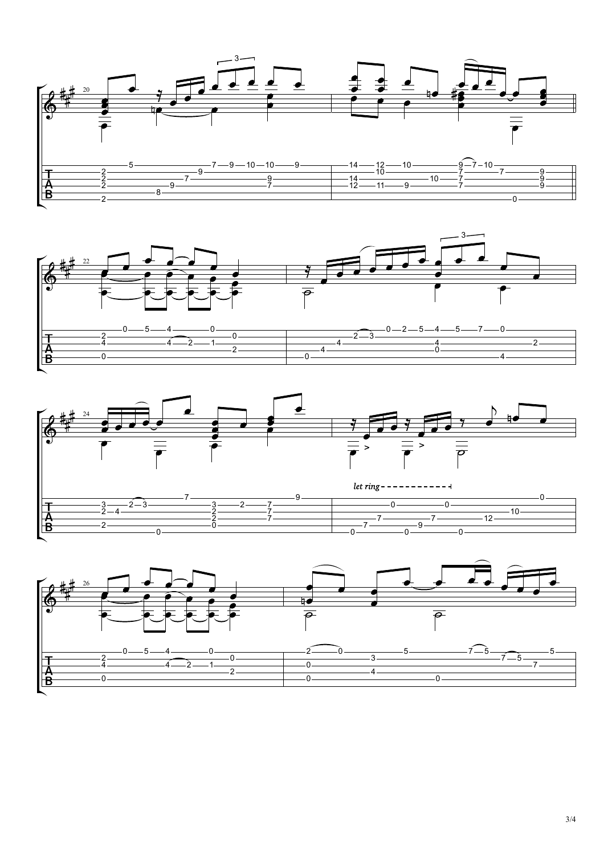